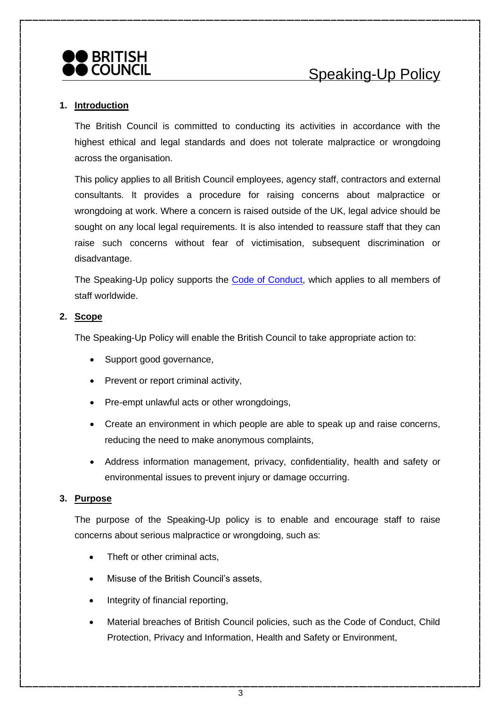

#### **1. Introduction**

The British Council is committed to conducting its activities in accordance with the highest ethical and legal standards and does not tolerate malpractice or wrongdoing across the organisation.

This policy applies to all British Council employees, agency staff, contractors and external consultants. It provides a procedure for raising concerns about malpractice or wrongdoing at work. Where a concern is raised outside of the UK, legal advice should be sought on any local legal requirements. It is also intended to reassure staff that they can raise such concerns without fear of victimisation, subsequent discrimination or disadvantage.

The Speaking-Up policy supports the [Code of Conduct,](http://intranet.britishcouncil.org/hr/EP/05Employee_relations/Pages/CodeofConduct.aspx) which applies to all members of staff worldwide.

#### **2. Scope**

The Speaking-Up Policy will enable the British Council to take appropriate action to:

- Support good governance,
- Prevent or report criminal activity,
- Pre-empt unlawful acts or other wrongdoings,
- Create an environment in which people are able to speak up and raise concerns, reducing the need to make anonymous complaints,
- Address information management, privacy, confidentiality, health and safety or environmental issues to prevent injury or damage occurring.

#### **3. Purpose**

The purpose of the Speaking-Up policy is to enable and encourage staff to raise concerns about serious malpractice or wrongdoing, such as:

- Theft or other criminal acts.
- Misuse of the British Council's assets.
- Integrity of financial reporting,
- Material breaches of British Council policies, such as the Code of Conduct, Child Protection, Privacy and Information, Health and Safety or Environment,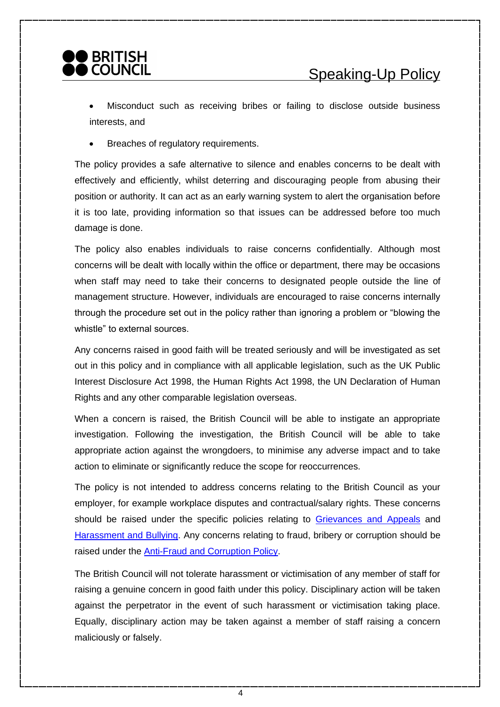

Misconduct such as receiving bribes or failing to disclose outside business interests, and

• Breaches of regulatory requirements.

The policy provides a safe alternative to silence and enables concerns to be dealt with effectively and efficiently, whilst deterring and discouraging people from abusing their position or authority. It can act as an early warning system to alert the organisation before it is too late, providing information so that issues can be addressed before too much damage is done.

The policy also enables individuals to raise concerns confidentially. Although most concerns will be dealt with locally within the office or department, there may be occasions when staff may need to take their concerns to designated people outside the line of management structure. However, individuals are encouraged to raise concerns internally through the procedure set out in the policy rather than ignoring a problem or "blowing the whistle" to external sources.

Any concerns raised in good faith will be treated seriously and will be investigated as set out in this policy and in compliance with all applicable legislation, such as the UK Public Interest Disclosure Act 1998, the Human Rights Act 1998, the UN Declaration of Human Rights and any other comparable legislation overseas.

When a concern is raised, the British Council will be able to instigate an appropriate investigation. Following the investigation, the British Council will be able to take appropriate action against the wrongdoers, to minimise any adverse impact and to take action to eliminate or significantly reduce the scope for reoccurrences.

The policy is not intended to address concerns relating to the British Council as your employer, for example workplace disputes and contractual/salary rights. These concerns should be raised under the specific policies relating to [Grievances and Appeals](http://intranet.britishcouncil.org/hr/EP/05Employee_relations/Pages/Grievance_Policy.aspx) and [Harassment and Bullying.](http://intranet.britishcouncil.org/hr/EP/05Employee_relations/Pages/Harassment_and_bullying.aspx) Any concerns relating to fraud, bribery or corruption should be raised under the [Anti-Fraud and Corruption Policy.](http://intranet.britishcouncil.org/Site/InternalAudit/Pages/fraud_corruption.aspx)

The British Council will not tolerate harassment or victimisation of any member of staff for raising a genuine concern in good faith under this policy. Disciplinary action will be taken against the perpetrator in the event of such harassment or victimisation taking place. Equally, disciplinary action may be taken against a member of staff raising a concern maliciously or falsely.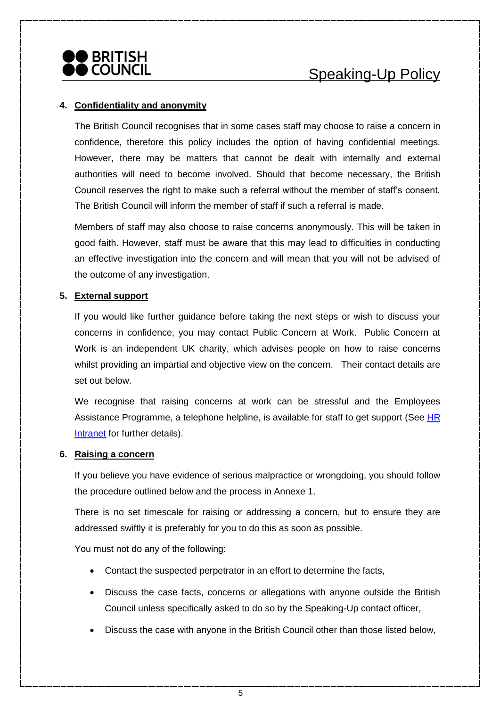

## **4. Confidentiality and anonymity**

The British Council recognises that in some cases staff may choose to raise a concern in confidence, therefore this policy includes the option of having confidential meetings. However, there may be matters that cannot be dealt with internally and external authorities will need to become involved. Should that become necessary, the British Council reserves the right to make such a referral without the member of staff's consent. The British Council will inform the member of staff if such a referral is made.

Members of staff may also choose to raise concerns anonymously. This will be taken in good faith. However, staff must be aware that this may lead to difficulties in conducting an effective investigation into the concern and will mean that you will not be advised of the outcome of any investigation.

#### **5. External support**

If you would like further guidance before taking the next steps or wish to discuss your concerns in confidence, you may contact Public Concern at Work. Public Concern at Work is an independent UK charity, which advises people on how to raise concerns whilst providing an impartial and objective view on the concern. Their contact details are set out below.

We recognise that raising concerns at work can be stressful and the Employees Assistance Programme, a telephone helpline, is available for staff to get support (See HR [Intranet](http://intranet.britishcouncil.org/hr/Pages/default.aspx) for further details).

#### **6. Raising a concern**

If you believe you have evidence of serious malpractice or wrongdoing, you should follow the procedure outlined below and the process in Annexe 1.

There is no set timescale for raising or addressing a concern, but to ensure they are addressed swiftly it is preferably for you to do this as soon as possible.

You must not do any of the following:

- Contact the suspected perpetrator in an effort to determine the facts,
- Discuss the case facts, concerns or allegations with anyone outside the British Council unless specifically asked to do so by the Speaking-Up contact officer,
- Discuss the case with anyone in the British Council other than those listed below,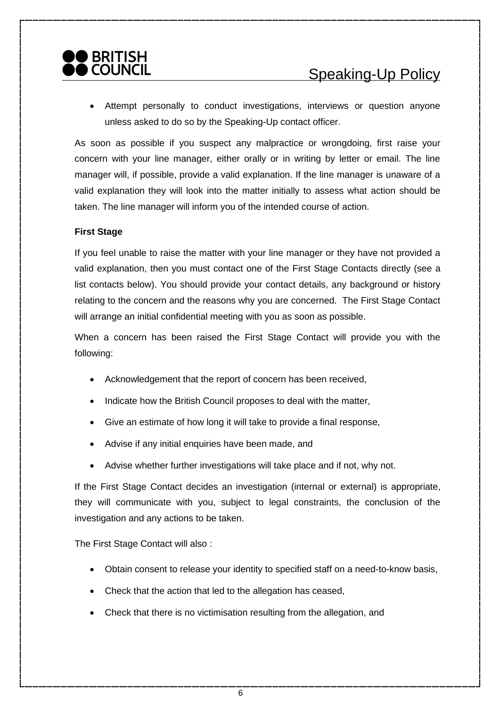• Attempt personally to conduct investigations, interviews or question anyone unless asked to do so by the Speaking-Up contact officer.

As soon as possible if you suspect any malpractice or wrongdoing, first raise your concern with your line manager, either orally or in writing by letter or email. The line manager will, if possible, provide a valid explanation. If the line manager is unaware of a valid explanation they will look into the matter initially to assess what action should be taken. The line manager will inform you of the intended course of action.

## **First Stage**

If you feel unable to raise the matter with your line manager or they have not provided a valid explanation, then you must contact one of the First Stage Contacts directly (see a list contacts below). You should provide your contact details, any background or history relating to the concern and the reasons why you are concerned. The First Stage Contact will arrange an initial confidential meeting with you as soon as possible.

When a concern has been raised the First Stage Contact will provide you with the following:

- Acknowledgement that the report of concern has been received,
- Indicate how the British Council proposes to deal with the matter,
- Give an estimate of how long it will take to provide a final response,
- Advise if any initial enquiries have been made, and
- Advise whether further investigations will take place and if not, why not.

If the First Stage Contact decides an investigation (internal or external) is appropriate, they will communicate with you, subject to legal constraints, the conclusion of the investigation and any actions to be taken.

The First Stage Contact will also :

- Obtain consent to release your identity to specified staff on a need-to-know basis,
- Check that the action that led to the allegation has ceased,
- Check that there is no victimisation resulting from the allegation, and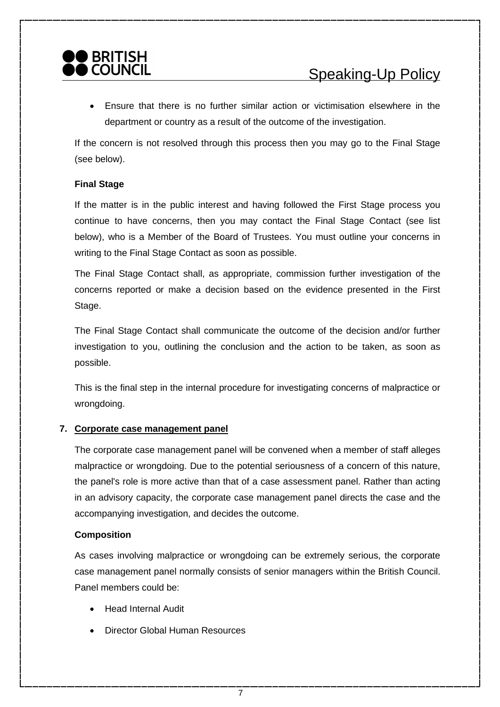## **BRITISH COUNCIL**

• Ensure that there is no further similar action or victimisation elsewhere in the department or country as a result of the outcome of the investigation.

If the concern is not resolved through this process then you may go to the Final Stage (see below).

## **Final Stage**

If the matter is in the public interest and having followed the First Stage process you continue to have concerns, then you may contact the Final Stage Contact (see list below), who is a Member of the Board of Trustees. You must outline your concerns in writing to the Final Stage Contact as soon as possible.

The Final Stage Contact shall, as appropriate, commission further investigation of the concerns reported or make a decision based on the evidence presented in the First Stage.

The Final Stage Contact shall communicate the outcome of the decision and/or further investigation to you, outlining the conclusion and the action to be taken, as soon as possible.

This is the final step in the internal procedure for investigating concerns of malpractice or wrongdoing.

## **7. Corporate case management panel**

The corporate case management panel will be convened when a member of staff alleges malpractice or wrongdoing. Due to the potential seriousness of a concern of this nature, the panel's role is more active than that of a case assessment panel. Rather than acting in an advisory capacity, the corporate case management panel directs the case and the accompanying investigation, and decides the outcome.

## **Composition**

As cases involving malpractice or wrongdoing can be extremely serious, the corporate case management panel normally consists of senior managers within the British Council. Panel members could be:

- Head Internal Audit
- Director Global Human Resources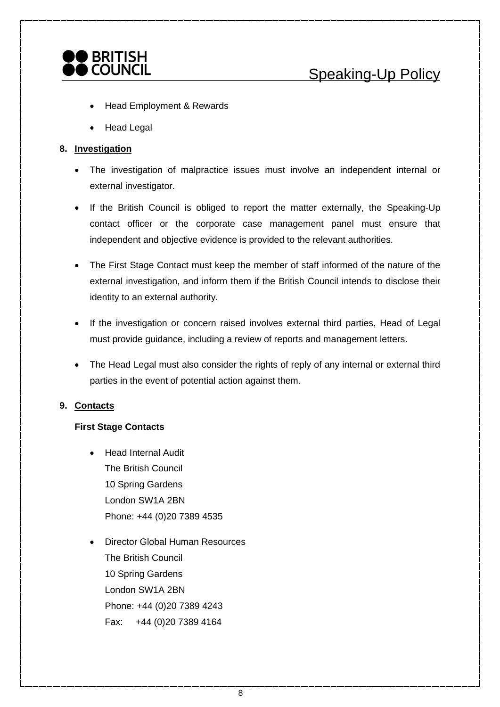

- Head Employment & Rewards
- Head Legal

#### **8. Investigation**

- The investigation of malpractice issues must involve an independent internal or external investigator.
- If the British Council is obliged to report the matter externally, the Speaking-Up contact officer or the corporate case management panel must ensure that independent and objective evidence is provided to the relevant authorities.
- The First Stage Contact must keep the member of staff informed of the nature of the external investigation, and inform them if the British Council intends to disclose their identity to an external authority.
- If the investigation or concern raised involves external third parties, Head of Legal must provide guidance, including a review of reports and management letters.
- The Head Legal must also consider the rights of reply of any internal or external third parties in the event of potential action against them.

## **9. Contacts**

#### **First Stage Contacts**

- Head Internal Audit The British Council 10 Spring Gardens London SW1A 2BN Phone: +44 (0)20 7389 4535
- Director Global Human Resources The British Council 10 Spring Gardens London SW1A 2BN Phone: +44 (0)20 7389 4243 Fax: +44 (0)20 7389 4164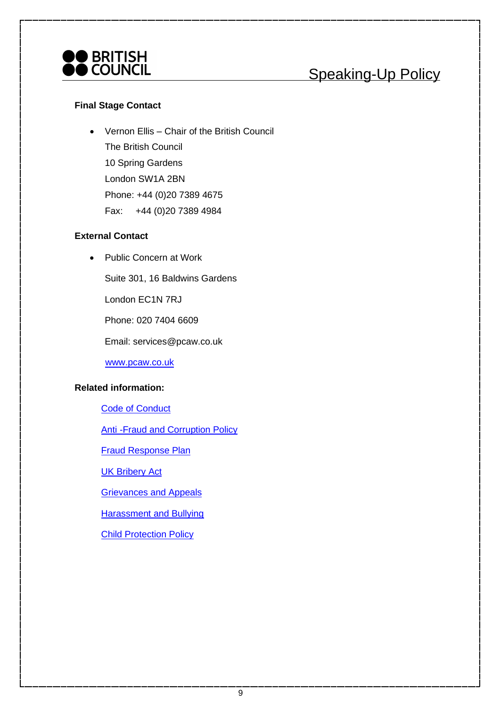

# Speaking-Up Policy

#### **Final Stage Contact**

• Vernon Ellis – Chair of the British Council The British Council 10 Spring Gardens London SW1A 2BN Phone: +44 (0)20 7389 4675 Fax: +44 (0)20 7389 4984

## **External Contact**

• Public Concern at Work

Suite 301, 16 Baldwins Gardens

London EC1N 7RJ

Phone: 020 7404 6609

Email: services@pcaw.co.uk

[www.pcaw.co.uk](http://www.pcaw.co.uk/)

#### **Related information:**

[Code of Conduct](http://intranet.britishcouncil.org/hr/EP/05Employee_relations/Pages/CodeofConduct.aspx)

[Anti -Fraud and Corruption Policy](file://///intranet.britishcouncil.org/DavWWWRoot/Site/InternalAudit/Documents/Anti-Fraud_Corruption_Policy.doc)

[Fraud Response Plan](http://intranet.britishcouncil.org/Site/InternalAudit/Documents/Fraud_Response_Plan.doc)

[UK Bribery Act](http://intranet.britishcouncil.org/Site/InternalAudit/Documents/BRIBERY_ACT.doc)

[Grievances and Appeals](http://intranet.britishcouncil.org/hr/EP/05Employee_relations/Pages/Grievance_Policy.aspx)

[Harassment and Bullying](http://intranet.britishcouncil.org/hr/EP/05Employee_relations/Pages/Harassment_and_bullying.aspx)

[Child Protection Policy](http://intranet.britishcouncil.org/Site/ChildProtection/PS/Pages/ChildProtectionPolicy.aspx)